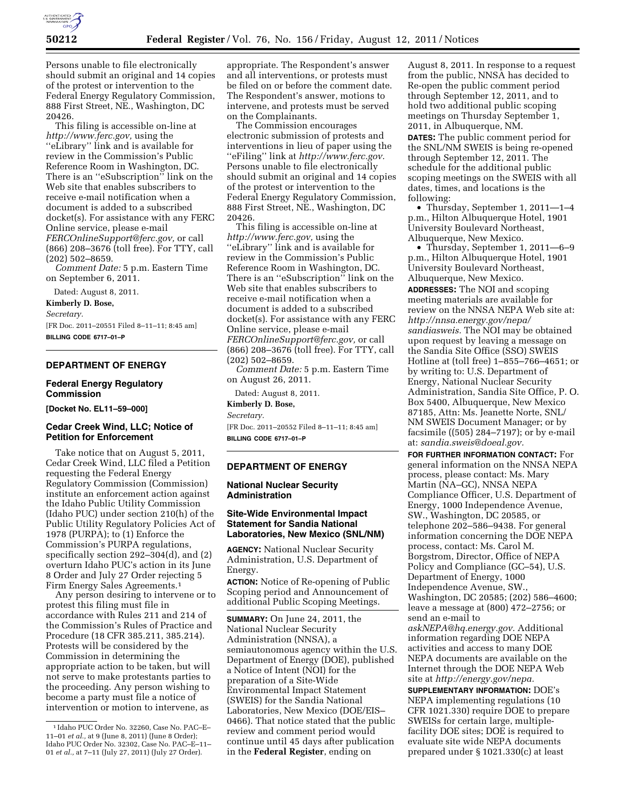

Persons unable to file electronically should submit an original and 14 copies of the protest or intervention to the Federal Energy Regulatory Commission, 888 First Street, NE., Washington, DC 20426.

This filing is accessible on-line at *[http://www.ferc.gov,](http://www.ferc.gov)* using the ''eLibrary'' link and is available for review in the Commission's Public Reference Room in Washington, DC. There is an ''eSubscription'' link on the Web site that enables subscribers to receive e-mail notification when a document is added to a subscribed docket(s). For assistance with any FERC Online service, please e-mail *[FERCOnlineSupport@ferc.gov,](mailto:FERCOnlineSupport@ferc.gov)* or call (866) 208–3676 (toll free). For TTY, call (202) 502–8659.

*Comment Date:* 5 p.m. Eastern Time on September 6, 2011.

Dated: August 8, 2011.

**Kimberly D. Bose,** 

*Secretary.* 

[FR Doc. 2011–20551 Filed 8–11–11; 8:45 am] **BILLING CODE 6717–01–P** 

# **DEPARTMENT OF ENERGY**

#### **Federal Energy Regulatory Commission**

**[Docket No. EL11–59–000]** 

# **Cedar Creek Wind, LLC; Notice of Petition for Enforcement**

Take notice that on August 5, 2011, Cedar Creek Wind, LLC filed a Petition requesting the Federal Energy Regulatory Commission (Commission) institute an enforcement action against the Idaho Public Utility Commission (Idaho PUC) under section 210(h) of the Public Utility Regulatory Policies Act of 1978 (PURPA); to (1) Enforce the Commission's PURPA regulations, specifically section 292–304(d), and (2) overturn Idaho PUC's action in its June 8 Order and July 27 Order rejecting 5 Firm Energy Sales Agreements.1

Any person desiring to intervene or to protest this filing must file in accordance with Rules 211 and 214 of the Commission's Rules of Practice and Procedure (18 CFR 385.211, 385.214). Protests will be considered by the Commission in determining the appropriate action to be taken, but will not serve to make protestants parties to the proceeding. Any person wishing to become a party must file a notice of intervention or motion to intervene, as

appropriate. The Respondent's answer and all interventions, or protests must be filed on or before the comment date. The Respondent's answer, motions to intervene, and protests must be served on the Complainants.

The Commission encourages electronic submission of protests and interventions in lieu of paper using the ''eFiling'' link at *[http://www.ferc.gov.](http://www.ferc.gov)*  Persons unable to file electronically should submit an original and 14 copies of the protest or intervention to the Federal Energy Regulatory Commission, 888 First Street, NE., Washington, DC 20426.

This filing is accessible on-line at *[http://www.ferc.gov,](http://www.ferc.gov)* using the ''eLibrary'' link and is available for review in the Commission's Public Reference Room in Washington, DC. There is an ''eSubscription'' link on the Web site that enables subscribers to receive e-mail notification when a document is added to a subscribed docket(s). For assistance with any FERC Online service, please e-mail *[FERCOnlineSupport@ferc.gov,](mailto:FERCOnlineSupport@ferc.gov)* or call (866) 208–3676 (toll free). For TTY, call (202) 502–8659.

*Comment Date:* 5 p.m. Eastern Time on August 26, 2011.

Dated: August 8, 2011.

**Kimberly D. Bose,** 

*Secretary.* 

[FR Doc. 2011–20552 Filed 8–11–11; 8:45 am] **BILLING CODE 6717–01–P** 

#### **DEPARTMENT OF ENERGY**

**National Nuclear Security Administration** 

#### **Site-Wide Environmental Impact Statement for Sandia National Laboratories, New Mexico (SNL/NM)**

**AGENCY:** National Nuclear Security Administration, U.S. Department of Energy.

**ACTION:** Notice of Re-opening of Public Scoping period and Announcement of additional Public Scoping Meetings.

**SUMMARY:** On June 24, 2011, the National Nuclear Security Administration (NNSA), a semiautonomous agency within the U.S. Department of Energy (DOE), published a Notice of Intent (NOI) for the preparation of a Site-Wide Environmental Impact Statement (SWEIS) for the Sandia National Laboratories, New Mexico (DOE/EIS– 0466). That notice stated that the public review and comment period would continue until 45 days after publication in the **Federal Register**, ending on

August 8, 2011. In response to a request from the public, NNSA has decided to Re-open the public comment period through September 12, 2011, and to hold two additional public scoping meetings on Thursday September 1, 2011, in Albuquerque, NM.

**DATES:** The public comment period for the SNL/NM SWEIS is being re-opened through September 12, 2011. The schedule for the additional public scoping meetings on the SWEIS with all dates, times, and locations is the following:

• Thursday, September 1, 2011—1–4 p.m., Hilton Albuquerque Hotel, 1901 University Boulevard Northeast, Albuquerque, New Mexico.

• Thursday, September 1, 2011—6–9 p.m., Hilton Albuquerque Hotel, 1901 University Boulevard Northeast, Albuquerque, New Mexico. **ADDRESSES:** The NOI and scoping meeting materials are available for review on the NNSA NEPA Web site at: *[http://nnsa.energy.gov/nepa/](http://nnsa.energy.gov/nepa/sandiasweis) [sandiasweis.](http://nnsa.energy.gov/nepa/sandiasweis)* The NOI may be obtained upon request by leaving a message on the Sandia Site Office (SSO) SWEIS Hotline at (toll free) 1–855–766–4651; or by writing to: U.S. Department of Energy, National Nuclear Security Administration, Sandia Site Office, P. O. Box 5400, Albuquerque, New Mexico 87185, Attn: Ms. Jeanette Norte, SNL/ NM SWEIS Document Manager; or by facsimile ((505) 284–7197); or by e-mail at: *[sandia.sweis@doeal.gov.](mailto:sandia.sweis@doeal.gov)* 

**FOR FURTHER INFORMATION CONTACT:** For general information on the NNSA NEPA process, please contact: Ms. Mary Martin (NA–GC), NNSA NEPA Compliance Officer, U.S. Department of Energy, 1000 Independence Avenue, SW., Washington, DC 20585, or telephone 202–586–9438. For general information concerning the DOE NEPA process, contact: Ms. Carol M. Borgstrom, Director, Office of NEPA Policy and Compliance (GC–54), U.S. Department of Energy, 1000 Independence Avenue, SW., Washington, DC 20585; (202) 586–4600; leave a message at (800) 472–2756; or send an e-mail to

*[askNEPA@hq.energy.gov.](mailto:askNEPA@hq.energy.gov)* Additional information regarding DOE NEPA activities and access to many DOE NEPA documents are available on the Internet through the DOE NEPA Web site at *[http://energy.gov/nepa.](http://energy.gov/nepa)* 

**SUPPLEMENTARY INFORMATION:** DOE's NEPA implementing regulations (10 CFR 1021.330) require DOE to prepare SWEISs for certain large, multiplefacility DOE sites; DOE is required to evaluate site wide NEPA documents prepared under § 1021.330(c) at least

<sup>1</sup> Idaho PUC Order No. 32260, Case No. PAC–E– 11–01 *et al.,* at 9 (June 8, 2011) (June 8 Order); Idaho PUC Order No. 32302, Case No. PAC–E–11– 01 *et al.,* at 7–11 (July 27, 2011) (July 27 Order).